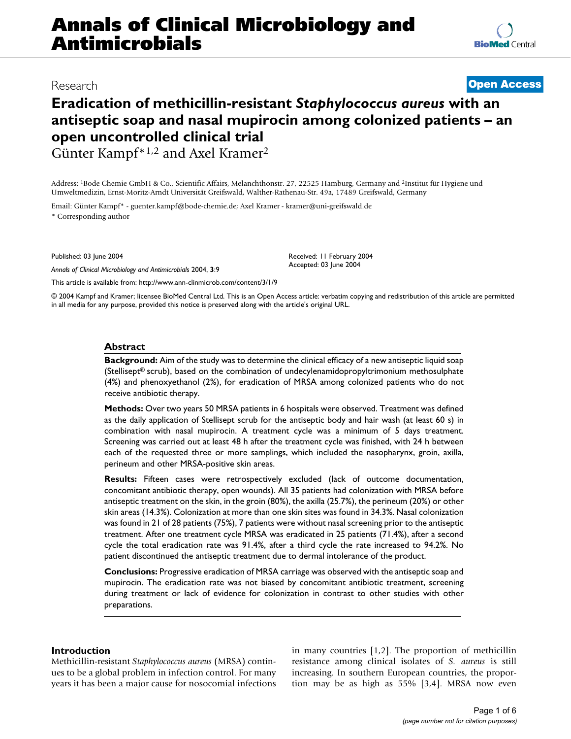# **Annals of Clinical Microbiology and Antimicrobials**

# Research **[Open Access](http://www.biomedcentral.com/info/about/charter/)**

# **Eradication of methicillin-resistant** *Staphylococcus aureus* **with an antiseptic soap and nasal mupirocin among colonized patients – an open uncontrolled clinical trial**

Günter Kampf\*1,2 and Axel Kramer2

**[BioMed](http://www.biomedcentral.com/)** Central

Address: 1Bode Chemie GmbH & Co., Scientific Affairs, Melanchthonstr. 27, 22525 Hamburg, Germany and 2Institut für Hygiene und Umweltmedizin, Ernst-Moritz-Arndt Universität Greifswald, Walther-Rathenau-Str. 49a, 17489 Greifswald, Germany

Email: Günter Kampf\* - guenter.kampf@bode-chemie.de; Axel Kramer - kramer@uni-greifswald.de \* Corresponding author

Published: 03 June 2004

*Annals of Clinical Microbiology and Antimicrobials* 2004, **3**:9

[This article is available from: http://www.ann-clinmicrob.com/content/3/1/9](http://www.ann-clinmicrob.com/content/3/1/9)

© 2004 Kampf and Kramer; licensee BioMed Central Ltd. This is an Open Access article: verbatim copying and redistribution of this article are permitted in all media for any purpose, provided this notice is preserved along with the article's original URL.

Received: 11 February 2004 Accepted: 03 June 2004

## **Abstract**

**Background:** Aim of the study was to determine the clinical efficacy of a new antiseptic liquid soap (Stellisept<sup>®</sup> scrub), based on the combination of undecylenamidopropyltrimonium methosulphate (4%) and phenoxyethanol (2%), for eradication of MRSA among colonized patients who do not receive antibiotic therapy.

**Methods:** Over two years 50 MRSA patients in 6 hospitals were observed. Treatment was defined as the daily application of Stellisept scrub for the antiseptic body and hair wash (at least 60 s) in combination with nasal mupirocin. A treatment cycle was a minimum of 5 days treatment. Screening was carried out at least 48 h after the treatment cycle was finished, with 24 h between each of the requested three or more samplings, which included the nasopharynx, groin, axilla, perineum and other MRSA-positive skin areas.

**Results:** Fifteen cases were retrospectively excluded (lack of outcome documentation, concomitant antibiotic therapy, open wounds). All 35 patients had colonization with MRSA before antiseptic treatment on the skin, in the groin (80%), the axilla (25.7%), the perineum (20%) or other skin areas (14.3%). Colonization at more than one skin sites was found in 34.3%. Nasal colonization was found in 21 of 28 patients (75%), 7 patients were without nasal screening prior to the antiseptic treatment. After one treatment cycle MRSA was eradicated in 25 patients (71.4%), after a second cycle the total eradication rate was 91.4%, after a third cycle the rate increased to 94.2%. No patient discontinued the antiseptic treatment due to dermal intolerance of the product.

**Conclusions:** Progressive eradication of MRSA carriage was observed with the antiseptic soap and mupirocin. The eradication rate was not biased by concomitant antibiotic treatment, screening during treatment or lack of evidence for colonization in contrast to other studies with other preparations.

## **Introduction**

Methicillin-resistant *Staphylococcus aureus* (MRSA) continues to be a global problem in infection control. For many years it has been a major cause for nosocomial infections in many countries [1,2]. The proportion of methicillin resistance among clinical isolates of *S. aureus* is still increasing. In southern European countries, the proportion may be as high as 55% [3,4]. MRSA now even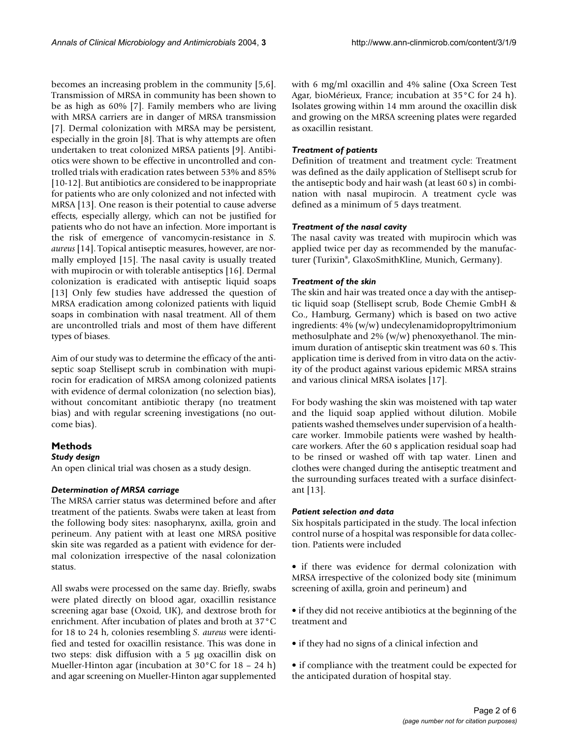becomes an increasing problem in the community [5,6]. Transmission of MRSA in community has been shown to be as high as 60% [7]. Family members who are living with MRSA carriers are in danger of MRSA transmission [7]. Dermal colonization with MRSA may be persistent, especially in the groin [8]. That is why attempts are often undertaken to treat colonized MRSA patients [9]. Antibiotics were shown to be effective in uncontrolled and controlled trials with eradication rates between 53% and 85% [10-12]. But antibiotics are considered to be inappropriate for patients who are only colonized and not infected with MRSA [13]. One reason is their potential to cause adverse effects, especially allergy, which can not be justified for patients who do not have an infection. More important is the risk of emergence of vancomycin-resistance in *S. aureus* [14]. Topical antiseptic measures, however, are normally employed [15]. The nasal cavity is usually treated with mupirocin or with tolerable antiseptics [16]. Dermal colonization is eradicated with antiseptic liquid soaps [13] Only few studies have addressed the question of MRSA eradication among colonized patients with liquid soaps in combination with nasal treatment. All of them are uncontrolled trials and most of them have different types of biases.

Aim of our study was to determine the efficacy of the antiseptic soap Stellisept scrub in combination with mupirocin for eradication of MRSA among colonized patients with evidence of dermal colonization (no selection bias), without concomitant antibiotic therapy (no treatment bias) and with regular screening investigations (no outcome bias).

# **Methods**

## *Study design*

An open clinical trial was chosen as a study design.

# *Determination of MRSA carriage*

The MRSA carrier status was determined before and after treatment of the patients. Swabs were taken at least from the following body sites: nasopharynx, axilla, groin and perineum. Any patient with at least one MRSA positive skin site was regarded as a patient with evidence for dermal colonization irrespective of the nasal colonization status.

All swabs were processed on the same day. Briefly, swabs were plated directly on blood agar, oxacillin resistance screening agar base (Oxoid, UK), and dextrose broth for enrichment. After incubation of plates and broth at 37°C for 18 to 24 h, colonies resembling *S. aureus* were identified and tested for oxacillin resistance. This was done in two steps: disk diffusion with a 5 µg oxacillin disk on Mueller-Hinton agar (incubation at 30°C for 18 – 24 h) and agar screening on Mueller-Hinton agar supplemented

with 6 mg/ml oxacillin and 4% saline (Oxa Screen Test Agar, bioMérieux, France; incubation at 35°C for 24 h). Isolates growing within 14 mm around the oxacillin disk and growing on the MRSA screening plates were regarded as oxacillin resistant.

# *Treatment of patients*

Definition of treatment and treatment cycle: Treatment was defined as the daily application of Stellisept scrub for the antiseptic body and hair wash (at least 60 s) in combination with nasal mupirocin. A treatment cycle was defined as a minimum of 5 days treatment.

# *Treatment of the nasal cavity*

The nasal cavity was treated with mupirocin which was applied twice per day as recommended by the manufacturer (Turixin®, GlaxoSmithKline, Munich, Germany).

# *Treatment of the skin*

The skin and hair was treated once a day with the antiseptic liquid soap (Stellisept scrub, Bode Chemie GmbH & Co., Hamburg, Germany) which is based on two active ingredients: 4% (w/w) undecylenamidopropyltrimonium methosulphate and  $2\%$  (w/w) phenoxyethanol. The minimum duration of antiseptic skin treatment was 60 s. This application time is derived from in vitro data on the activity of the product against various epidemic MRSA strains and various clinical MRSA isolates [17].

For body washing the skin was moistened with tap water and the liquid soap applied without dilution. Mobile patients washed themselves under supervision of a healthcare worker. Immobile patients were washed by healthcare workers. After the 60 s application residual soap had to be rinsed or washed off with tap water. Linen and clothes were changed during the antiseptic treatment and the surrounding surfaces treated with a surface disinfectant [13].

## *Patient selection and data*

Six hospitals participated in the study. The local infection control nurse of a hospital was responsible for data collection. Patients were included

• if there was evidence for dermal colonization with MRSA irrespective of the colonized body site (minimum screening of axilla, groin and perineum) and

• if they did not receive antibiotics at the beginning of the treatment and

- if they had no signs of a clinical infection and
- if compliance with the treatment could be expected for the anticipated duration of hospital stay.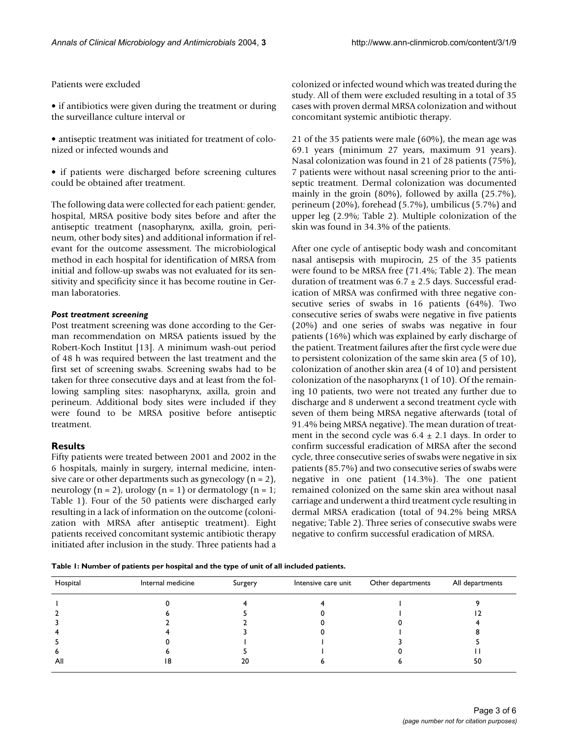Patients were excluded

• if antibiotics were given during the treatment or during the surveillance culture interval or

• antiseptic treatment was initiated for treatment of colonized or infected wounds and

• if patients were discharged before screening cultures could be obtained after treatment.

The following data were collected for each patient: gender, hospital, MRSA positive body sites before and after the antiseptic treatment (nasopharynx, axilla, groin, perineum, other body sites) and additional information if relevant for the outcome assessment. The microbiological method in each hospital for identification of MRSA from initial and follow-up swabs was not evaluated for its sensitivity and specificity since it has become routine in German laboratories.

#### *Post treatment screening*

Post treatment screening was done according to the German recommendation on MRSA patients issued by the Robert-Koch Institut [13]. A minimum wash-out period of 48 h was required between the last treatment and the first set of screening swabs. Screening swabs had to be taken for three consecutive days and at least from the following sampling sites: nasopharynx, axilla, groin and perineum. Additional body sites were included if they were found to be MRSA positive before antiseptic treatment.

## **Results**

Fifty patients were treated between 2001 and 2002 in the 6 hospitals, mainly in surgery, internal medicine, intensive care or other departments such as gynecology  $(n = 2)$ , neurology (n = 2), urology (n = 1) or dermatology (n = 1; Table [1](#page-2-0)). Four of the 50 patients were discharged early resulting in a lack of information on the outcome (colonization with MRSA after antiseptic treatment). Eight patients received concomitant systemic antibiotic therapy initiated after inclusion in the study. Three patients had a colonized or infected wound which was treated during the study. All of them were excluded resulting in a total of 35 cases with proven dermal MRSA colonization and without concomitant systemic antibiotic therapy.

21 of the 35 patients were male (60%), the mean age was 69.1 years (minimum 27 years, maximum 91 years). Nasal colonization was found in 21 of 28 patients (75%), 7 patients were without nasal screening prior to the antiseptic treatment. Dermal colonization was documented mainly in the groin (80%), followed by axilla (25.7%), perineum (20%), forehead (5.7%), umbilicus (5.7%) and upper leg (2.9%; Table [2](#page-3-0)). Multiple colonization of the skin was found in 34.3% of the patients.

After one cycle of antiseptic body wash and concomitant nasal antisepsis with mupirocin, 25 of the 35 patients were found to be MRSA free (71.4%; Table [2\)](#page-3-0). The mean duration of treatment was  $6.7 \pm 2.5$  days. Successful eradication of MRSA was confirmed with three negative consecutive series of swabs in 16 patients (64%). Two consecutive series of swabs were negative in five patients (20%) and one series of swabs was negative in four patients (16%) which was explained by early discharge of the patient. Treatment failures after the first cycle were due to persistent colonization of the same skin area (5 of 10), colonization of another skin area (4 of 10) and persistent colonization of the nasopharynx (1 of 10). Of the remaining 10 patients, two were not treated any further due to discharge and 8 underwent a second treatment cycle with seven of them being MRSA negative afterwards (total of 91.4% being MRSA negative). The mean duration of treatment in the second cycle was  $6.4 \pm 2.1$  days. In order to confirm successful eradication of MRSA after the second cycle, three consecutive series of swabs were negative in six patients (85.7%) and two consecutive series of swabs were negative in one patient (14.3%). The one patient remained colonized on the same skin area without nasal carriage and underwent a third treatment cycle resulting in dermal MRSA eradication (total of 94.2% being MRSA negative; Table [2\)](#page-3-0). Three series of consecutive swabs were negative to confirm successful eradication of MRSA.

<span id="page-2-0"></span>**Table 1: Number of patients per hospital and the type of unit of all included patients.**

| Hospital | Internal medicine | Surgery | Intensive care unit | Other departments | All departments |
|----------|-------------------|---------|---------------------|-------------------|-----------------|
|          |                   |         |                     |                   |                 |
|          |                   |         |                     |                   |                 |
|          |                   |         |                     |                   |                 |
|          |                   |         |                     |                   |                 |
|          |                   |         |                     |                   |                 |
| o        |                   |         |                     |                   |                 |
| All      | ι8                | 20      |                     |                   | 50              |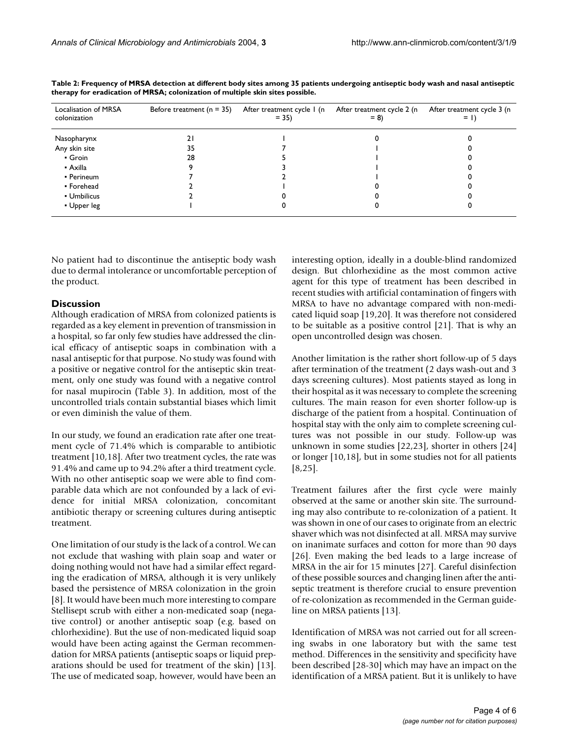| Localisation of MRSA<br>colonization | Before treatment ( $n = 35$ ) | After treatment cycle 1 (n<br>$= 35$ | After treatment cycle 2 (n<br>$= 8$ | After treatment cycle 3 (n<br>$= 1$ |
|--------------------------------------|-------------------------------|--------------------------------------|-------------------------------------|-------------------------------------|
| Nasopharynx                          | 21                            |                                      |                                     |                                     |
| Any skin site                        | 35                            |                                      |                                     |                                     |
| • Groin                              | 28                            |                                      |                                     |                                     |
| • Axilla                             |                               |                                      |                                     |                                     |
| • Perineum                           |                               |                                      |                                     |                                     |
| • Forehead                           |                               |                                      |                                     |                                     |
| • Umbilicus                          |                               |                                      |                                     |                                     |
| • Upper leg                          |                               |                                      |                                     |                                     |

<span id="page-3-0"></span>**Table 2: Frequency of MRSA detection at different body sites among 35 patients undergoing antiseptic body wash and nasal antiseptic therapy for eradication of MRSA; colonization of multiple skin sites possible.**

No patient had to discontinue the antiseptic body wash due to dermal intolerance or uncomfortable perception of the product.

## **Discussion**

Although eradication of MRSA from colonized patients is regarded as a key element in prevention of transmission in a hospital, so far only few studies have addressed the clinical efficacy of antiseptic soaps in combination with a nasal antiseptic for that purpose. No study was found with a positive or negative control for the antiseptic skin treatment, only one study was found with a negative control for nasal mupirocin (Table [3\)](#page-4-0). In addition, most of the uncontrolled trials contain substantial biases which limit or even diminish the value of them.

In our study, we found an eradication rate after one treatment cycle of 71.4% which is comparable to antibiotic treatment [10,18]. After two treatment cycles, the rate was 91.4% and came up to 94.2% after a third treatment cycle. With no other antiseptic soap we were able to find comparable data which are not confounded by a lack of evidence for initial MRSA colonization, concomitant antibiotic therapy or screening cultures during antiseptic treatment.

One limitation of our study is the lack of a control. We can not exclude that washing with plain soap and water or doing nothing would not have had a similar effect regarding the eradication of MRSA, although it is very unlikely based the persistence of MRSA colonization in the groin [8]. It would have been much more interesting to compare Stellisept scrub with either a non-medicated soap (negative control) or another antiseptic soap (e.g. based on chlorhexidine). But the use of non-medicated liquid soap would have been acting against the German recommendation for MRSA patients (antiseptic soaps or liquid preparations should be used for treatment of the skin) [13]. The use of medicated soap, however, would have been an

interesting option, ideally in a double-blind randomized design. But chlorhexidine as the most common active agent for this type of treatment has been described in recent studies with artificial contamination of fingers with MRSA to have no advantage compared with non-medicated liquid soap [19,20]. It was therefore not considered to be suitable as a positive control [21]. That is why an open uncontrolled design was chosen.

Another limitation is the rather short follow-up of 5 days after termination of the treatment (2 days wash-out and 3 days screening cultures). Most patients stayed as long in their hospital as it was necessary to complete the screening cultures. The main reason for even shorter follow-up is discharge of the patient from a hospital. Continuation of hospital stay with the only aim to complete screening cultures was not possible in our study. Follow-up was unknown in some studies [22,23], shorter in others [24] or longer [10,18], but in some studies not for all patients [8,25].

Treatment failures after the first cycle were mainly observed at the same or another skin site. The surrounding may also contribute to re-colonization of a patient. It was shown in one of our cases to originate from an electric shaver which was not disinfected at all. MRSA may survive on inanimate surfaces and cotton for more than 90 days [26]. Even making the bed leads to a large increase of MRSA in the air for 15 minutes [27]. Careful disinfection of these possible sources and changing linen after the antiseptic treatment is therefore crucial to ensure prevention of re-colonization as recommended in the German guideline on MRSA patients [13].

Identification of MRSA was not carried out for all screening swabs in one laboratory but with the same test method. Differences in the sensitivity and specificity have been described [28-30] which may have an impact on the identification of a MRSA patient. But it is unlikely to have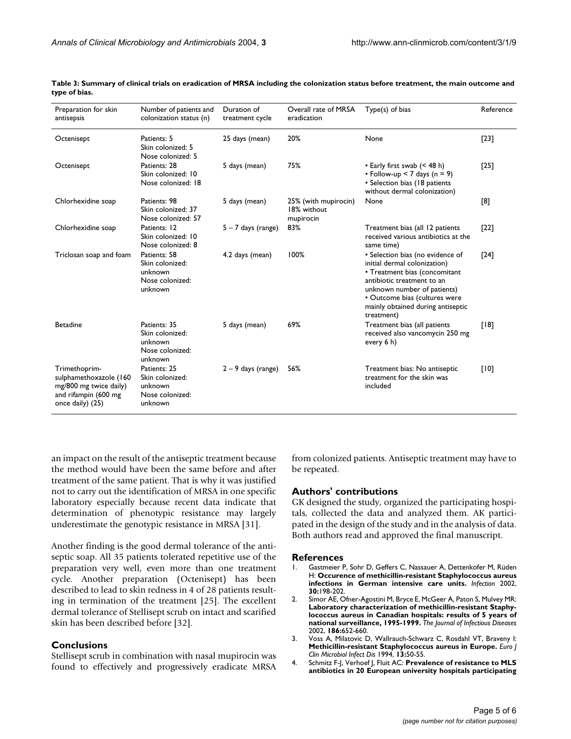| Preparation for skin<br>antisepsis                                                                            | Number of patients and<br>colonization status (n)                        | Duration of<br>treatment cycle | Overall rate of MRSA<br>eradication              | Type(s) of bias                                                                                                                                                                                                                                    | Reference |
|---------------------------------------------------------------------------------------------------------------|--------------------------------------------------------------------------|--------------------------------|--------------------------------------------------|----------------------------------------------------------------------------------------------------------------------------------------------------------------------------------------------------------------------------------------------------|-----------|
| Octenisept                                                                                                    | Patients: 5<br>Skin colonized: 5<br>Nose colonized: 5                    | 25 days (mean)                 | 20%                                              | None                                                                                                                                                                                                                                               | $[23]$    |
| Octenisept                                                                                                    | Patients: 28<br>Skin colonized: 10<br>Nose colonized: 18                 | 5 days (mean)                  | 75%                                              | • Early first swab (< 48 h)<br>• Follow-up $<$ 7 days (n = 9)<br>• Selection bias (18 patients<br>without dermal colonization)                                                                                                                     | $[25]$    |
| Chlorhexidine soap                                                                                            | Patients: 98<br>Skin colonized: 37<br>Nose colonized: 57                 | 5 days (mean)                  | 25% (with mupirocin)<br>18% without<br>mupirocin | None                                                                                                                                                                                                                                               | [8]       |
| Chlorhexidine soap                                                                                            | Patients: 12<br>Skin colonized: 10<br>Nose colonized: 8                  | $5 - 7$ days (range)           | 83%                                              | Treatment bias (all 12 patients<br>received various antibiotics at the<br>same time)                                                                                                                                                               | $[22]$    |
| Triclosan soap and foam                                                                                       | Patients: 58<br>Skin colonized:<br>unknown<br>Nose colonized:<br>unknown | 4.2 days (mean)                | 100%                                             | • Selection bias (no evidence of<br>initial dermal colonization)<br>• Treatment bias (concomitant<br>antibiotic treatment to an<br>unknown number of patients)<br>• Outcome bias (cultures were<br>mainly obtained during antiseptic<br>treatment) | $[24]$    |
| <b>Betadine</b>                                                                                               | Patients: 35<br>Skin colonized:<br>unknown<br>Nose colonized:<br>unknown | 5 days (mean)                  | 69%                                              | Treatment bias (all patients<br>received also vancomycin 250 mg<br>every 6 h)                                                                                                                                                                      | [18]      |
| Trimethoprim-<br>sulphamethoxazole (160<br>mg/800 mg twice daily)<br>and rifampin (600 mg<br>once daily) (25) | Patients: 25<br>Skin colonized:<br>unknown<br>Nose colonized:<br>unknown | $2 - 9$ days (range)           | 56%                                              | Treatment bias: No antiseptic<br>treatment for the skin was<br>included                                                                                                                                                                            | [10]      |

<span id="page-4-0"></span>**Table 3: Summary of clinical trials on eradication of MRSA including the colonization status before treatment, the main outcome and type of bias.**

an impact on the result of the antiseptic treatment because the method would have been the same before and after treatment of the same patient. That is why it was justified not to carry out the identification of MRSA in one specific laboratory especially because recent data indicate that determination of phenotypic resistance may largely underestimate the genotypic resistance in MRSA [31].

Another finding is the good dermal tolerance of the antiseptic soap. All 35 patients tolerated repetitive use of the preparation very well, even more than one treatment cycle. Another preparation (Octenisept) has been described to lead to skin redness in 4 of 28 patients resulting in termination of the treatment [25]. The excellent dermal tolerance of Stellisept scrub on intact and scarified skin has been described before [32].

## **Conclusions**

Stellisept scrub in combination with nasal mupirocin was found to effectively and progressively eradicate MRSA

from colonized patients. Antiseptic treatment may have to be repeated.

# **Authors' contributions**

GK designed the study, organized the participating hospitals, collected the data and analyzed them. AK participated in the design of the study and in the analysis of data. Both authors read and approved the final manuscript.

#### **References**

- 1. Gastmeier P, Sohr D, Geffers C, Nassauer A, Dettenkofer M, Rüden H: **[Occurence of methicillin-resistant Staphylococcus aureus](http://www.ncbi.nlm.nih.gov/entrez/query.fcgi?cmd=Retrieve&db=PubMed&dopt=Abstract&list_uids=10.1007/s15010-002-2043-z) [infections in German intensive care units](http://www.ncbi.nlm.nih.gov/entrez/query.fcgi?cmd=Retrieve&db=PubMed&dopt=Abstract&list_uids=10.1007/s15010-002-2043-z)[.](http://www.ncbi.nlm.nih.gov/entrez/query.fcgi?cmd=Retrieve&db=PubMed&dopt=Abstract&list_uids=12236560)** *Infection* 2002, **30:**198-202.
- 2. Simor AE, Ofner-Agostini M, Bryce E, McGeer A, Paton S, Mulvey MR: **[Laboratory characterization of methicillin-resistant Staphy](http://www.ncbi.nlm.nih.gov/entrez/query.fcgi?cmd=Retrieve&db=PubMed&dopt=Abstract&list_uids=10.1086/342292)lococcus aureus in Canadian hospitals: results of 5 years of [national surveillance, 1995-1999](http://www.ncbi.nlm.nih.gov/entrez/query.fcgi?cmd=Retrieve&db=PubMed&dopt=Abstract&list_uids=10.1086/342292)[.](http://www.ncbi.nlm.nih.gov/entrez/query.fcgi?cmd=Retrieve&db=PubMed&dopt=Abstract&list_uids=12195352)** *The Journal of Infectious Diseases* 2002, **186:**652-660.
- 3. Voss A, Milatovic D, Wallrauch-Schwarz C, Rosdahl VT, Braveny I: **Methicillin-resistant Staphylococcus aureus in Europe.** *Euro J Clin Microbiol Infect Dis* 1994, **13:**50-55.
- 4. Schmitz F-J, Verhoef J, Fluit AC: **[Prevalence of resistance to MLS](http://www.ncbi.nlm.nih.gov/entrez/query.fcgi?cmd=Retrieve&db=PubMed&dopt=Abstract&list_uids=10.1093/jac/43.6.783) [antibiotics in 20 European university hospitals participating](http://www.ncbi.nlm.nih.gov/entrez/query.fcgi?cmd=Retrieve&db=PubMed&dopt=Abstract&list_uids=10.1093/jac/43.6.783)**